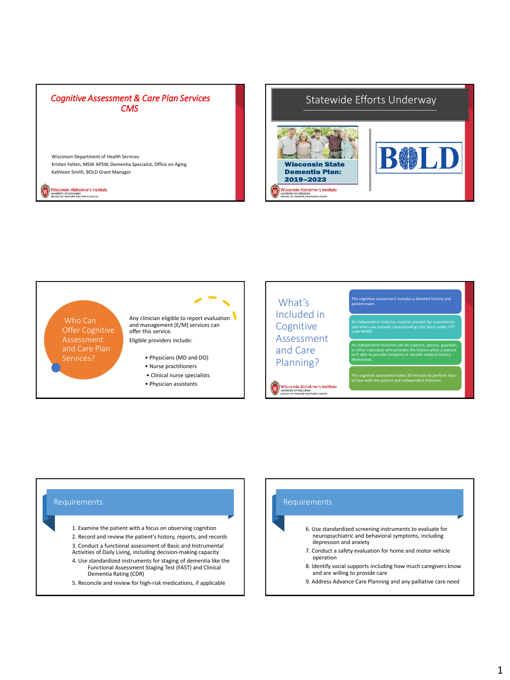

Wisconsin Alzheimer's Institute<br>UNIVERSITY OF WISCONSIN<br>SOHOOL OF MEDICINE AND PUBLIC HEALTH

W

Statewide Efforts Underway



What's patient exam. Included in Who Can Any clinician eligible to report evaluation and management (E/M) services can Cognitive Offer Cognitive offer this service. code 99483. Assessment Assessment Eligible providers include: An independent historian can be a parent, spouse, guardian, and Care Services? • Physicians (MD and DO) isn't able to provide complete or reliable medical history Planning? themselves. • Nurse practitioners • Clinical nurse specialists The cognitive assessment takes 50 minutes to perform faceto-face with the patient and independent historian. • Physician assistants Wisconsin Alzheimer's Institute<br>
SCHOOLDE MEDICAL AND PUBLIC HEALTH (W)

## Requirements

- 1. Examine the patient with a focus on observing cognition
- 2. Record and review the patient's history, reports, and records 3. Conduct a functional assessment of Basic and Instrumental Activities of Daily Living, including decision-making capacity
- 4. Use standardized instruments for staging of dementia like the Functional Assessment Staging Test (FAST) and Clinical Dementia Rating (CDR)
- 5. Reconcile and review for high-risk medications, if applicable

## 6. Use standardized screening instruments to evaluate for neuropsychiatric and behavioral symptoms, including depression and anxiety 7. Conduct a safety evaluation for home and motor vehicle operation 8. Identify social supports including how much caregivers know and are willing to provide care 9. Address Advance Care Planning and any palliative care need